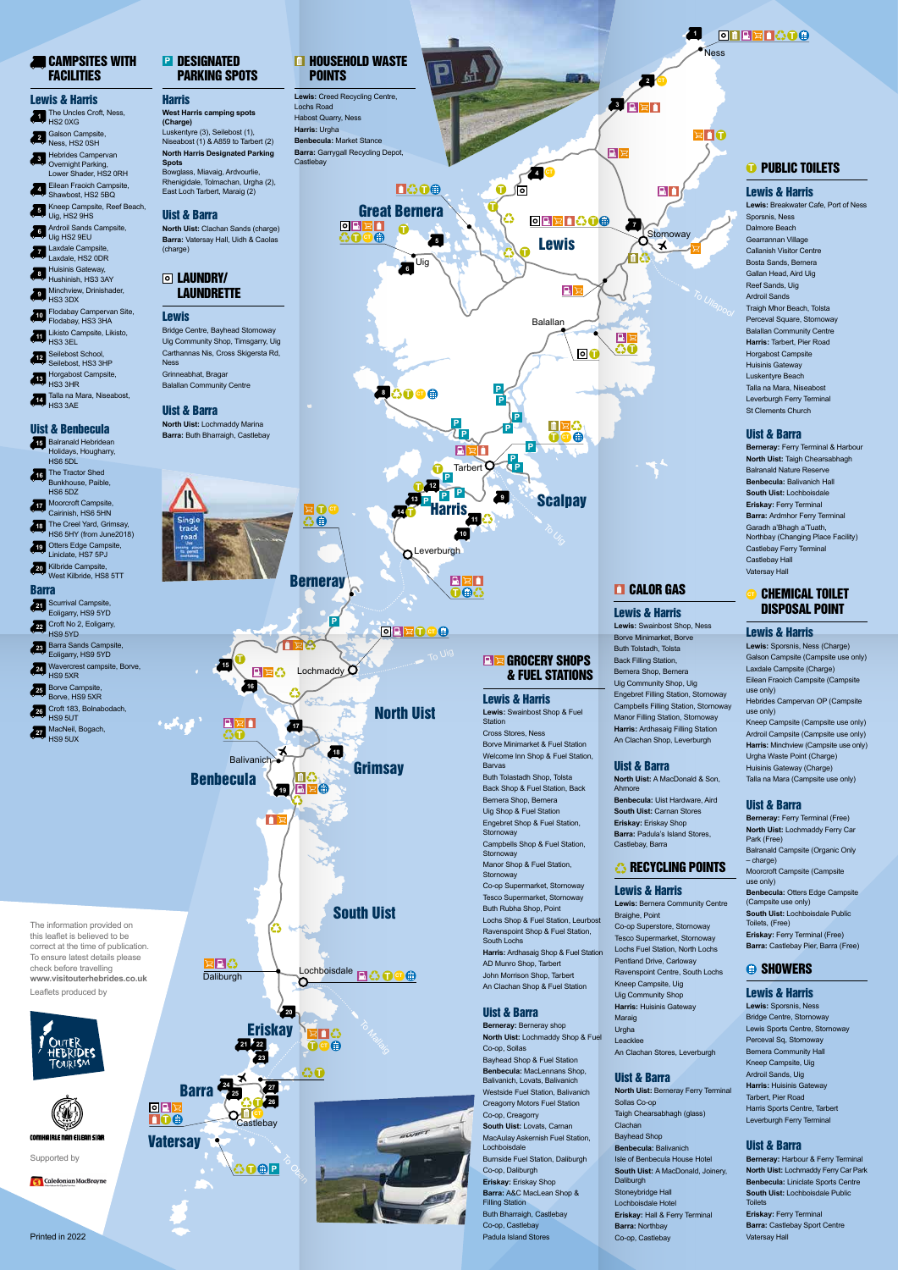South Uist

**T**

**8626** 

**T CT**

#### Lewis & Harris

**Berneray: Ferry Terminal & Harbour North Uist: Taigh Chearsabhagh** Balranald Nature Reserve **Benbecula:** Balivanich Hall **South Uist:** Lochboisdale **Eriskay:** Ferry Terminal **Barra: Ardmhor Ferry Terminal** Garadh a'Bhagh a'Tuath, Northbay (Changing Place Facility) Castlebay Ferry Terminal Castlebay Hall Vatersay Hall

**Lewis:** Breakwater Cafe, Port of Ness Sporsnis, Ness Dalmore Beach Gearrannan Village Callanish Visitor Centre Bosta Sands, Bernera Gallan Head, Aird Uig Reef Sands, Uig Ardroil Sands Traigh Mhor Beach, Tolsta Perceval Square, Stornoway Balallan Community Centre **Harris:** Tarbert, Pier Road Horgabost Campsite Huisinis Gateway Luskentyre Beach Talla na Mara, Niseabost Leverburgh Ferry Terminal St Clements Church

#### Uist & Barra

**Berneray: Ferry Terminal (Free) North Uist:** Lochmaddy Ferry Car Park (Free) Balranald Campsite (Organic Only – charge) Moorcroft Campsite (Campsite use only) **Benbecula:** Otters Edge Campsite (Campsite use only) **South Uist:** Lochboisdale Public Toilets, (Free) **Eriskay: Ferry Terminal (Free) Barra:** Castlebay Pier, Barra (Free)

#### CHEMICAL TOILET DISPOSAL POINT

#### Lewis & Harris

**Lewis:** Sporsnis, Ness (Charge) Galson Campsite (Campsite use only) Laxdale Campsite (Charge) Eilean Fraoich Campsite (Campsite use only) Hebrides Campervan OP (Campsite use only) Kneep Campsite (Campsite use only) Ardroil Campsite (Campsite use only) **Harris:** Minchview (Campsite use only) Urgha Waste Point (Charge) Huisinis Gateway (Charge) Talla na Mara (Campsite use only)

#### **ReadWriteS WITH** FACILITIES

#### Uist & Barra

- **1** The Uncles Croft, Ness, HS2 0XG
- **2** Galson Campsite, Ness, HS2 0SH
- **3** Hebrides Campervan Overnight Parking. Lower Shader, HS2 0RH
- **4** Shawbost, HS2 5BQ Eilean Fraoich Campsite,
- **5** Kneep Campsite, Reef Beach, Uig, HS2 9HS
- **6** Ardroil Sands Campsite, Uig HS2 9EU
- **7** Laxdale Campsite, Laxdale, HS2 0DR
- **8** Huisinis Gateway, Hushinish, HS3 3AY
- **9** Minchview, Drinishader, HS3 3DX
- **10** Flodabay Campervan Site, Flodabay, HS3 3HA
- **11** Likisto Campsite, Likisto,
- **12** Seilebost School, HS3 3EL
- Seilebost, HS3 3HP
- **13** Horgabost Campsite, HS3 3HR
- **14** HS3 3AE Talla na Mara, Niseabost,

#### Lewis & Harris

**Lewis:** Sporsnis, Ness Bridge Centre, Stornoway Lewis Sports Centre, Stornoway Perceval Sq, Stornoway Bernera Community Hall Kneep Campsite, Uig Ardroil Sands, Uig **Harris:** Huisinis Gateway Tarbert, Pier Road Harris Sports Centre, Tarbert Leverburgh Ferry Terminal

**North Uist:** Clachan Sands (charge) **Barra:** Vatersay Hall, Uidh & Caolas (charge)

#### **D** LAUNDRY/ **LAUNDRETTE**

#### Uist & Barra

- **15** Balranald Hebridean Holidays, Hougharry, HS6 5DL
- **16** The Tractor Shed Bunkhouse, Paible, HS6 5DZ
- **17** Moorcroft Campsite, Cairinish, HS6 5HN
- **18** The Creel Yard, Grimsay, HS6 5HY (from June2018)
- **19** Otters Edge Campsite, Liniclate, HS7 5PJ
- **20** Kilbride Campsite, West Kilbride, HS8 5TT
- 
- Barra
- **21** Scurrival Campsite, Eoligarry, HS9 5YD
- **22** Croft No 2, Eoligarry, HS9 5YD
- **23** Barra Sands Campsite,
- Eoligarry, HS9 5YD
- **24** Wavercrest campsite, Borve, HS9 5XR
- **25** Borve Campsite,
- Borve, HS9 5XR Croft 183, Bolnabodach,
- **26** HS9 5UT
- **27** MacNeil, Bogach, HS9 5UX

**Berneray:** Harbour & Ferry Terminal **North Uist:** Lochmaddy Ferry Car Park **Benbecula:** Liniclate Sports Centre **South Uist:** Lochboisdale Public **Toilets Eriskay:** Ferry Terminal **Barra: Castlebay Sport Centre** Vatersay Hall

#### Lewis & Harris

#### **1 die**e E Ness **2 3120**  $E$ <sup>1</sup>  $|{\bf B}|$  $\geq$ **4 CT T TAGE** ∫ा BÔ **T** Great Bernera ♻ **DRENCOO 7 Stornoway 5** Lewis  $\lambda$ **T** 個公 Uig **6**  $|\mathbf{F}|$ Balallan  $\vert \mathbf{B} \vert$  : **T T P P P P** 同宮公 **P P T CT** 国文门 **P P P**  $T$ arbert **T P 12 <sup>P</sup> <sup>P</sup> <sup>P</sup> Scalpay 13 9 14 9**  $\sqrt{6}$ Harris **11 10 Leverburgh**  $|E|\mathcal{Z}|$  i **CALOR GAS**  $\oplus$ **T** Lewis & Harris **Lewis:** Swainbost Shop, Ness Borve Minimarket, Borve Buth Tolstadh, Tolsta **GROCERY SHOPS** Back Filling Station, & FUEL STATIONS Bernera Shop, Bernera Uig Community Shop, Uig Engebret Filling Station, Stornoway Lewis & Harris Campbells Filling Station, Stornoway **Lewis:** Swainbost Shop & Fuel Manor Filling Station, Stornoway **Station** Cross Stores, Ness

**Harris: Ardhasaig Filling Station** 

**Lewis:** Bernera Community Centre Braighe, Point Co-op Superstore, Stornoway Tesco Supermarket, Stornoway Lochs Fuel Station, North Lochs Pentland Drive, Carloway Ravenspoint Centre, South Lochs Kneep Campsite, Uig Uig Community Shop **Harris:** Huisinis Gateway Maraig Urgha Leacklee An Clachan Stores, Leverburgh

## **<sup>t</sup>** Public Toilets

#### Uist & Barra

**North Uist:** Berneray Ferry Terminal Sollas Co-op Taigh Chearsabhagh (glass) Clachan Bayhead Shop **Benbecula:** Balivanich Isle of Benbecula House Hotel **South Uist:** A MacDonald, Joinery, Daliburgh Stoneybridge Hall Lochboisdale Hotel **Eriskay:** Hall & Ferry Terminal **Barra:** Northbay Co-op, Castlebay

#### **SHOWERS**



6

#### Lewis & Harris



#### **HOUSEHOLD WASTE** POINTS

Lewis: Creed Recycling Centre, Lochs Road Habost Quarry, Ness **Harris:** Urgha **Benbecula:** Market Stance **Barra:** Garrygall Recycling Depot, **Castlebay** 

#### Uist & Benbecula

#### DESIGNATED **P** PARKING SPOTS

Harris

**West Harris camping spots** 

**(Charge)**

Luskentyre (3), Seilebost (1), Niseabost (1) & A859 to Tarbert (2) **North Harris Designated Parking** 

**Spots**

Bowglass, Miavaig, Ardvourlie, Rhenigidale, Tolmachan, Urgha (2), East Loch Tarbert, Maraig (2)

Uist & Barra

#### Lewis

Bridge Centre, Bayhead Stornoway Uig Community Shop, Timsgarry, Uig Carthannas Nis, Cross Skigersta Rd, Ness Grinneabhat, Bragar Balallan Community Centre

#### Uist & Barra

**North Uist:** Lochmaddy Marina **Barra:** Buth Bharraigh, Castlebay

The information provided on this leaflet is believed to be correct at the time of publication. To ensure latest details please check before travelling **www.visitouterhebrides.co.uk** Leaflets produced by

Printed in 2022

Supported by



Borve Minimarket & Fuel Station Welcome Inn Shop & Fuel Station,

Barvas

**Stornoway** 

**Stornoway** 

**Stornoway** 

Buth Tolastadh Shop, Tolsta Back Shop & Fuel Station, Back Bernera Shop, Bernera Uig Shop & Fuel Station Engebret Shop & Fuel Station,

Campbells Shop & Fuel Station,

Co-op Supermarket, Stornoway Tesco Supermarket, Stornoway Buth Rubha Shop, Point

Lochs Shop & Fuel Station, Leurbost Ravenspoint Shop & Fuel Station,

South Lochs

**Harris:** Ardhasaig Shop & Fuel Station

Manor Shop & Fuel Station

AD Munro Shop, Tarbert John Morrison Shop, Tarbert An Clachan Shop & Fuel Station

#### Uist & Barra

**Berneray:** Berneray shop **North Uist:** Lochmaddy Shop & Fuel Co-op, Sollas Bayhead Shop & Fuel Station **Benbecula:** MacLennans Shop, Balivanich, Lovats, Balivanich Westside Fuel Station, Balivanich Creagorry Motors Fuel Station Co-op, Creagorry **South Uist:** Lovats, Carnan MacAulay Askernish Fuel Station, Lochboisdale Burnside Fuel Station, Daliburgh Co-op, Daliburgh **Eriskay:** Eriskay Shop **Barra:** A&C MacLean Shop & Filling Station Buth Bharraigh, Castlebay Co-op, Castlebay Padula Island Stores

An Clachan Shop, Leverburgh





#### Uist & Barra

**North Uist:** A MacDonald & Son, Ahmore **Benbecula:** Uist Hardware, Aird **South Uist:** Carnan Stores **Eriskay:** Eriskay Shop **Barra: Padula's Island Stores,** Castlebay, Barra

## *C* RECYCLING POINTS